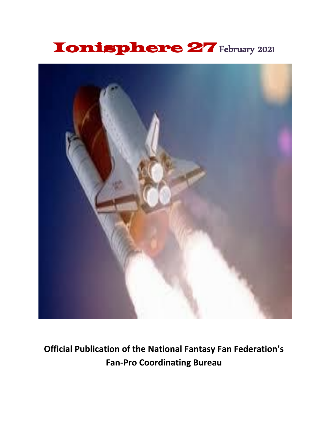# Ionisphere 27 February 2021



**Official Publication of the National Fantasy Fan Federation's Fan-Pro Coordinating Bureau**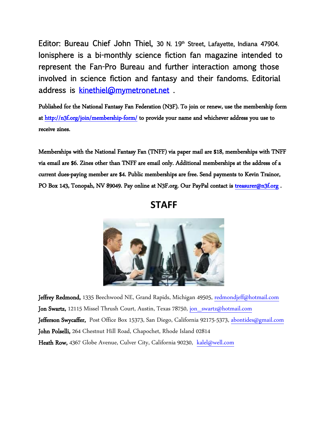Editor: Bureau Chief John Thiel, 30 N. 19<sup>th</sup> Street, Lafayette, Indiana 47904. Ionisphere is a bi-monthly science fiction fan magazine intended to represent the Fan-Pro Bureau and further interaction among those involved in science fiction and fantasy and their fandoms. Editorial address is kinethiel@mymetronet.net .

Published for the National Fantasy Fan Federation (N3F). To join or renew, use the membership form at http://n3f.org/join/membership-form/ to provide your name and whichever address you use to receive zines.

Memberships with the National Fantasy Fan (TNFF) via paper mail are \$18, memberships with TNFF via email are \$6. Zines other than TNFF are email only. Additional memberships at the address of a current dues-paying member are \$4. Public memberships are free. Send payments to Kevin Trainor, PO Box 143, Tonopah, NV 89049. Pay online at N3F.org. Our PayPal contact is treasurer@n3f.org.

**STAFF**



Jeffrey Redmond, 1335 Beechwood NE, Grand Rapids, Michigan 49505, redmondjeff@hotmail.com Jon Swartz, 12115 Missel Thrush Court, Austin, Texas 78750, jon\_swartz@hotmail.com Jefferson Swycaffer, Post Office Box 15373, San Diego, California 92175-5373, abontides@gmail.com John Polselli, 264 Chestnut Hill Road, Chapochet, Rhode Island 02814 Heath Row, 4367 Globe Avenue, Culver City, California 90230, kalel@well.com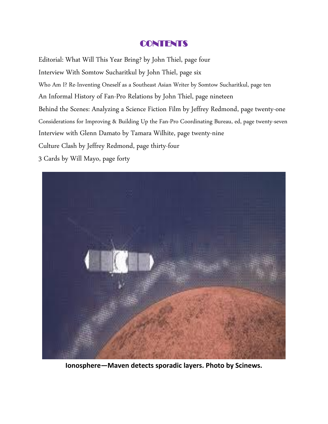#### **CONTENTS**

Editorial: What Will This Year Bring? by John Thiel, page four Interview With Somtow Sucharitkul by John Thiel, page six Who Am I? Re-Inventing Oneself as a Southeast Asian Writer by Somtow Sucharitkul, page ten An Informal History of Fan-Pro Relations by John Thiel, page nineteen Behind the Scenes: Analyzing a Science Fiction Film by Jeffrey Redmond, page twenty-one Considerations for Improving & Building Up the Fan-Pro Coordinating Bureau, ed, page twenty-seven Interview with Glenn Damato by Tamara Wilhite, page twenty-nine Culture Clash by Jeffrey Redmond, page thirty-four

3 Cards by Will Mayo, page forty



**Ionosphere—Maven detects sporadic layers. Photo by Scinews.**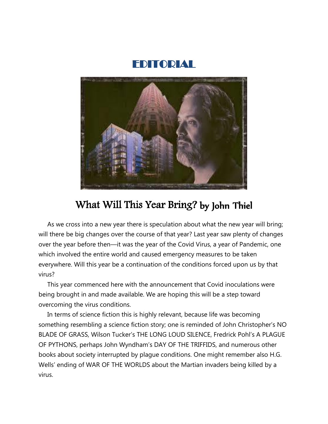



## What Will This Year Bring? by John Thiel

 As we cross into a new year there is speculation about what the new year will bring; will there be big changes over the course of that year? Last year saw plenty of changes over the year before then—it was the year of the Covid Virus, a year of Pandemic, one which involved the entire world and caused emergency measures to be taken everywhere. Will this year be a continuation of the conditions forced upon us by that virus?

 This year commenced here with the announcement that Covid inoculations were being brought in and made available. We are hoping this will be a step toward overcoming the virus conditions.

 In terms of science fiction this is highly relevant, because life was becoming something resembling a science fiction story; one is reminded of John Christopher's NO BLADE OF GRASS, Wilson Tucker's THE LONG LOUD SILENCE, Fredrick Pohl's A PLAGUE OF PYTHONS, perhaps John Wyndham's DAY OF THE TRIFFIDS, and numerous other books about society interrupted by plague conditions. One might remember also H.G. Wells' ending of WAR OF THE WORLDS about the Martian invaders being killed by a virus.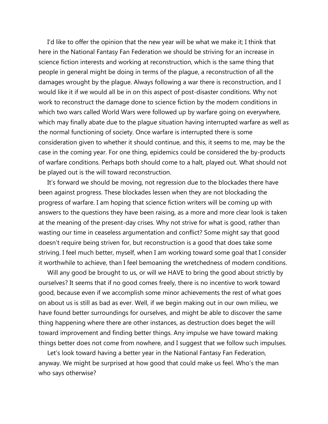I'd like to offer the opinion that the new year will be what we make it; I think that here in the National Fantasy Fan Federation we should be striving for an increase in science fiction interests and working at reconstruction, which is the same thing that people in general might be doing in terms of the plague, a reconstruction of all the damages wrought by the plague. Always following a war there is reconstruction, and I would like it if we would all be in on this aspect of post-disaster conditions. Why not work to reconstruct the damage done to science fiction by the modern conditions in which two wars called World Wars were followed up by warfare going on everywhere, which may finally abate due to the plague situation having interrupted warfare as well as the normal functioning of society. Once warfare is interrupted there is some consideration given to whether it should continue, and this, it seems to me, may be the case in the coming year. For one thing, epidemics could be considered the by-products of warfare conditions. Perhaps both should come to a halt, played out. What should not be played out is the will toward reconstruction.

 It's forward we should be moving, not regression due to the blockades there have been against progress. These blockades lessen when they are not blockading the progress of warfare. I am hoping that science fiction writers will be coming up with answers to the questions they have been raising, as a more and more clear look is taken at the meaning of the present-day crises. Why not strive for what is good, rather than wasting our time in ceaseless argumentation and conflict? Some might say that good doesn't require being striven for, but reconstruction is a good that does take some striving. I feel much better, myself, when I am working toward some goal that I consider it worthwhile to achieve, than I feel bemoaning the wretchedness of modern conditions.

 Will any good be brought to us, or will we HAVE to bring the good about strictly by ourselves? It seems that if no good comes freely, there is no incentive to work toward good, because even if we accomplish some minor achievements the rest of what goes on about us is still as bad as ever. Well, if we begin making out in our own milieu, we have found better surroundings for ourselves, and might be able to discover the same thing happening where there are other instances, as destruction does beget the will toward improvement and finding better things. Any impulse we have toward making things better does not come from nowhere, and I suggest that we follow such impulses.

 Let's look toward having a better year in the National Fantasy Fan Federation, anyway. We might be surprised at how good that could make us feel. Who's the man who says otherwise?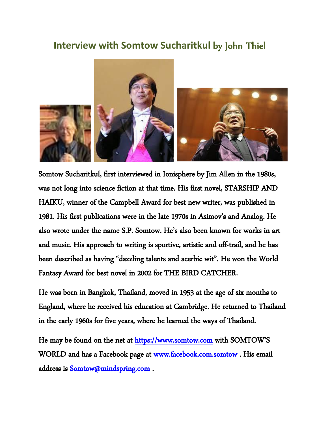### **Interview with Somtow Sucharitkul** by John Thiel



Somtow Sucharitkul, first interviewed in Ionisphere by Jim Allen in the 1980s, was not long into science fiction at that time. His first novel, STARSHIP AND HAIKU, winner of the Campbell Award for best new writer, was published in 1981. His first publications were in the late 1970s in Asimov's and Analog. He also wrote under the name S.P. Somtow. He's also been known for works in art and music. His approach to writing is sportive, artistic and off-trail, and he has been described as having "dazzling talents and acerbic wit". He won the World Fantasy Award for best novel in 2002 for THE BIRD CATCHER.

He was born in Bangkok, Thailand, moved in 1953 at the age of six months to England, where he received his education at Cambridge. He returned to Thailand in the early 1960s for five years, where he learned the ways of Thailand.

He may be found on the net at https://www.somtow.com with SOMTOW'S WORLD and has a Facebook page at www.facebook.com.somtow . His email address is Somtow@mindspring.com .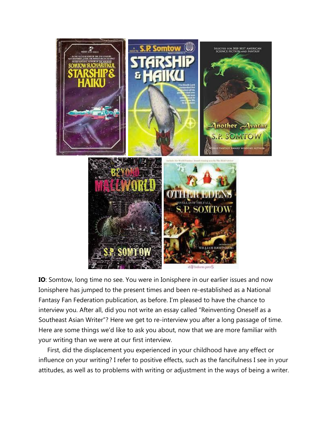

**IO**: Somtow, long time no see. You were in Ionisphere in our earlier issues and now Ionisphere has jumped to the present times and been re-established as a National Fantasy Fan Federation publication, as before. I'm pleased to have the chance to interview you. After all, did you not write an essay called "Reinventing Oneself as a Southeast Asian Writer"? Here we get to re-interview you after a long passage of time. Here are some things we'd like to ask you about, now that we are more familiar with your writing than we were at our first interview.

 First, did the displacement you experienced in your childhood have any effect or influence on your writing? I refer to positive effects, such as the fancifulness I see in your attitudes, as well as to problems with writing or adjustment in the ways of being a writer.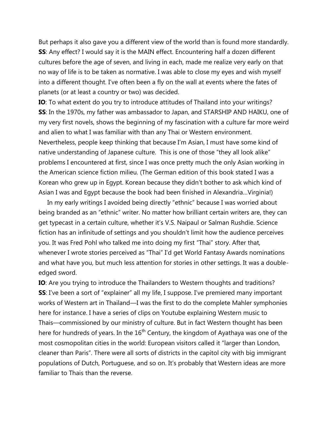But perhaps it also gave you a different view of the world than is found more standardly. **SS:** Any effect? I would say it is the MAIN effect. Encountering half a dozen different cultures before the age of seven, and living in each, made me realize very early on that no way of life is to be taken as normative. I was able to close my eyes and wish myself into a different thought. I've often been a fly on the wall at events where the fates of planets (or at least a country or two) was decided.

**IO**: To what extent do you try to introduce attitudes of Thailand into your writings? **SS**: In the 1970s, my father was ambassador to Japan, and STARSHIP AND HAIKU, one of my very first novels, shows the beginning of my fascination with a culture far more weird and alien to what I was familiar with than any Thai or Western environment. Nevertheless, people keep thinking that because I'm Asian, I must have some kind of native understanding of Japanese culture. This is one of those "they all look alike" problems I encountered at first, since I was once pretty much the only Asian working in the American science fiction milieu. (The German edition of this book stated I was a Korean who grew up in Egypt. Korean because they didn't bother to ask which kind of Asian I was and Egypt because the book had been finished in Alexandria…Virginia!)

 In my early writings I avoided being directly "ethnic" because I was worried about being branded as an "ethnic" writer. No matter how brilliant certain writers are, they can get typecast in a certain culture, whether it's V.S. Naipaul or Salman Rushdie. Science fiction has an infinitude of settings and you shouldn't limit how the audience perceives you. It was Fred Pohl who talked me into doing my first "Thai" story. After that, whenever I wrote stories perceived as "Thai" I'd get World Fantasy Awards nominations and what have you, but much less attention for stories in other settings. It was a doubleedged sword.

**IO**: Are you trying to introduce the Thailanders to Western thoughts and traditions? **SS**: I've been a sort of "explainer" all my life, I suppose. I've premiered many important works of Western art in Thailand—I was the first to do the complete Mahler symphonies here for instance. I have a series of clips on Youtube explaining Western music to Thais—commissioned by our ministry of culture. But in fact Western thought has been here for hundreds of years. In the  $16<sup>th</sup>$  Century, the kingdom of Ayathaya was one of the most cosmopolitan cities in the world: European visitors called it "larger than London, cleaner than Paris". There were all sorts of districts in the capitol city with big immigrant populations of Dutch, Portuguese, and so on. It's probably that Western ideas are more familiar to Thais than the reverse.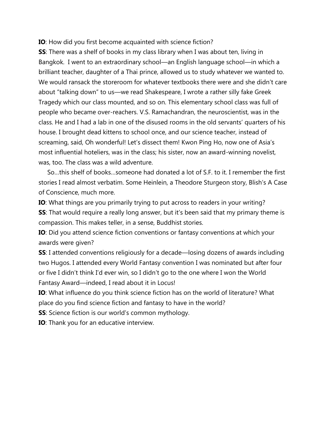**IO**: How did you first become acquainted with science fiction?

**SS**: There was a shelf of books in my class library when I was about ten, living in Bangkok. I went to an extraordinary school—an English language school—in which a brilliant teacher, daughter of a Thai prince, allowed us to study whatever we wanted to. We would ransack the storeroom for whatever textbooks there were and she didn't care about "talking down" to us—we read Shakespeare, I wrote a rather silly fake Greek Tragedy which our class mounted, and so on. This elementary school class was full of people who became over-reachers. V.S. Ramachandran, the neuroscientist, was in the class. He and I had a lab in one of the disused rooms in the old servants' quarters of his house. I brought dead kittens to school once, and our science teacher, instead of screaming, said, Oh wonderful! Let's dissect them! Kwon Ping Ho, now one of Asia's most influential hoteliers, was in the class; his sister, now an award-winning novelist, was, too. The class was a wild adventure.

 So…this shelf of books…someone had donated a lot of S.F. to it. I remember the first stories I read almost verbatim. Some Heinlein, a Theodore Sturgeon story, Blish's A Case of Conscience, much more.

**IO**: What things are you primarily trying to put across to readers in your writing? **SS**: That would require a really long answer, but it's been said that my primary theme is compassion. This makes teller, in a sense, Buddhist stories.

**IO**: Did you attend science fiction conventions or fantasy conventions at which your awards were given?

**SS**: I attended conventions religiously for a decade—losing dozens of awards including two Hugos. I attended every World Fantasy convention I was nominated but after four or five I didn't think I'd ever win, so I didn't go to the one where I won the World Fantasy Award—indeed, I read about it in Locus!

**IO**: What influence do you think science fiction has on the world of literature? What place do you find science fiction and fantasy to have in the world?

**SS**: Science fiction is our world's common mythology.

**IO**: Thank you for an educative interview.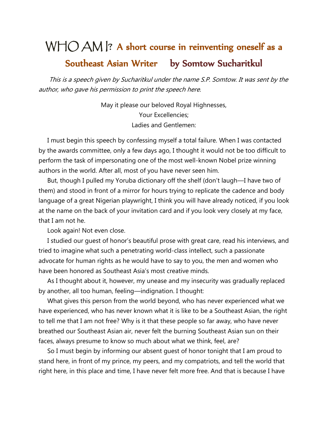# WHO AM |? A short course in reinventing oneself as a Southeast Asian Writer by Somtow Sucharitkul

 This is a speech given by Sucharitkul under the name S.P. Somtow. It was sent by the author, who gave his permission to print the speech here.

> May it please our beloved Royal Highnesses, Your Excellencies; Ladies and Gentlemen:

 I must begin this speech by confessing myself a total failure. When I was contacted by the awards committee, only a few days ago, I thought it would not be too difficult to perform the task of impersonating one of the most well-known Nobel prize winning authors in the world. After all, most of you have never seen him.

 But, though I pulled my Yoruba dictionary off the shelf (don't laugh—I have two of them) and stood in front of a mirror for hours trying to replicate the cadence and body language of a great Nigerian playwright, I think you will have already noticed, if you look at the name on the back of your invitation card and if you look very closely at my face, that I am not he.

Look again! Not even close.

 I studied our guest of honor's beautiful prose with great care, read his interviews, and tried to imagine what such a penetrating world-class intellect, such a passionate advocate for human rights as he would have to say to you, the men and women who have been honored as Southeast Asia's most creative minds.

 As I thought about it, however, my unease and my insecurity was gradually replaced by another, all too human, feeling—indignation. I thought:

 What gives this person from the world beyond, who has never experienced what we have experienced, who has never known what it is like to be a Southeast Asian, the right to tell me that I am not free? Why is it that these people so far away, who have never breathed our Southeast Asian air, never felt the burning Southeast Asian sun on their faces, always presume to know so much about what we think, feel, are?

 So I must begin by informing our absent guest of honor tonight that I am proud to stand here, in front of my prince, my peers, and my compatriots, and tell the world that right here, in this place and time, I have never felt more free. And that is because I have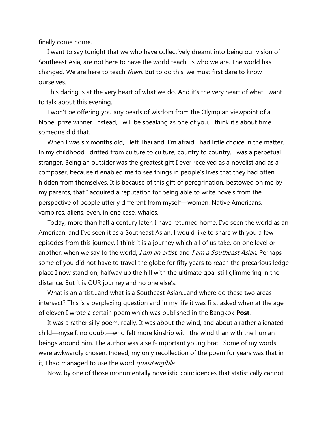finally come home.

 I want to say tonight that we who have collectively dreamt into being our vision of Southeast Asia, are not here to have the world teach us who we are. The world has changed. We are here to teach *them*. But to do this, we must first dare to know ourselves.

 This daring is at the very heart of what we do. And it's the very heart of what I want to talk about this evening.

 I won't be offering you any pearls of wisdom from the Olympian viewpoint of a Nobel prize winner. Instead, I will be speaking as one of you. I think it's about time someone did that.

 When I was six months old, I left Thailand. I'm afraid I had little choice in the matter. In my childhood I drifted from culture to culture, country to country. I was a perpetual stranger. Being an outsider was the greatest gift I ever received as a novelist and as a composer, because it enabled me to see things in people's lives that they had often hidden from themselves. It is because of this gift of peregrination, bestowed on me by my parents, that I acquired a reputation for being able to write novels from the perspective of people utterly different from myself—women, Native Americans, vampires, aliens, even, in one case, whales.

 Today, more than half a century later, I have returned home. I've seen the world as an American, and I've seen it as a Southeast Asian. I would like to share with you a few episodes from this journey. I think it is a journey which all of us take, on one level or another, when we say to the world, I am an artist, and I am a Southeast Asian. Perhaps some of you did not have to travel the globe for fifty years to reach the precarious ledge place I now stand on, halfway up the hill with the ultimate goal still glimmering in the distance. But it is OUR journey and no one else's.

 What is an artist…and what is a Southeast Asian…and where do these two areas intersect? This is a perplexing question and in my life it was first asked when at the age of eleven I wrote a certain poem which was published in the Bangkok **Post**.

 It was a rather silly poem, really. It was about the wind, and about a rather alienated child—myself, no doubt—who felt more kinship with the wind than with the human beings around him. The author was a self-important young brat. Some of my words were awkwardly chosen. Indeed, my only recollection of the poem for years was that in it, I had managed to use the word *quasitangible*.

Now, by one of those monumentally novelistic coincidences that statistically cannot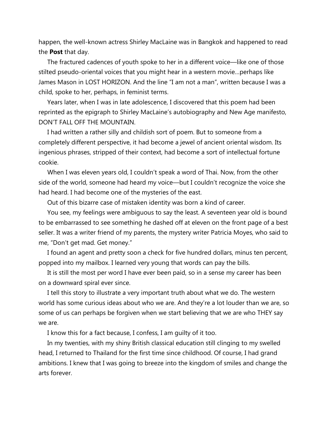happen, the well-known actress Shirley MacLaine was in Bangkok and happened to read the **Post** that day.

 The fractured cadences of youth spoke to her in a different voice—like one of those stilted pseudo-oriental voices that you might hear in a western movie…perhaps like James Mason in LOST HORIZON. And the line "I am not a man", written because I was a child, spoke to her, perhaps, in feminist terms.

 Years later, when I was in late adolescence, I discovered that this poem had been reprinted as the epigraph to Shirley MacLaine's autobiography and New Age manifesto, DON'T FALL OFF THE MOUNTAIN.

 I had written a rather silly and childish sort of poem. But to someone from a completely different perspective, it had become a jewel of ancient oriental wisdom. Its ingenious phrases, stripped of their context, had become a sort of intellectual fortune cookie.

 When I was eleven years old, I couldn't speak a word of Thai. Now, from the other side of the world, someone had heard my voice—but I couldn't recognize the voice she had heard. I had become one of the mysteries of the east.

Out of this bizarre case of mistaken identity was born a kind of career.

 You see, my feelings were ambiguous to say the least. A seventeen year old is bound to be embarrassed to see something he dashed off at eleven on the front page of a best seller. It was a writer friend of my parents, the mystery writer Patricia Moyes, who said to me, "Don't get mad. Get money."

 I found an agent and pretty soon a check for five hundred dollars, minus ten percent, popped into my mailbox. I learned very young that words can pay the bills.

 It is still the most per word I have ever been paid, so in a sense my career has been on a downward spiral ever since.

 I tell this story to illustrate a very important truth about what we do. The western world has some curious ideas about who we are. And they're a lot louder than we are, so some of us can perhaps be forgiven when we start believing that we are who THEY say we are.

I know this for a fact because, I confess, I am guilty of it too.

 In my twenties, with my shiny British classical education still clinging to my swelled head, I returned to Thailand for the first time since childhood. Of course, I had grand ambitions. I knew that I was going to breeze into the kingdom of smiles and change the arts forever.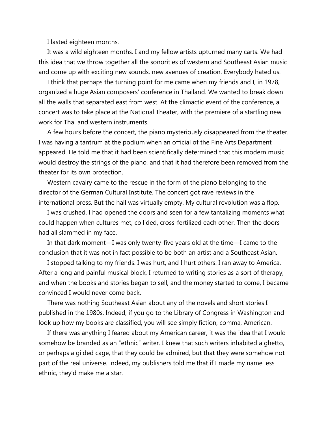I lasted eighteen months.

 It was a wild eighteen months. I and my fellow artists upturned many carts. We had this idea that we throw together all the sonorities of western and Southeast Asian music and come up with exciting new sounds, new avenues of creation. Everybody hated us.

 I think that perhaps the turning point for me came when my friends and I, in 1978, organized a huge Asian composers' conference in Thailand. We wanted to break down all the walls that separated east from west. At the climactic event of the conference, a concert was to take place at the National Theater, with the premiere of a startling new work for Thai and western instruments.

 A few hours before the concert, the piano mysteriously disappeared from the theater. I was having a tantrum at the podium when an official of the Fine Arts Department appeared. He told me that it had been scientifically determined that this modern music would destroy the strings of the piano, and that it had therefore been removed from the theater for its own protection.

 Western cavalry came to the rescue in the form of the piano belonging to the director of the German Cultural Institute. The concert got rave reviews in the international press. But the hall was virtually empty. My cultural revolution was a flop.

 I was crushed. I had opened the doors and seen for a few tantalizing moments what could happen when cultures met, collided, cross-fertilized each other. Then the doors had all slammed in my face.

 In that dark moment—I was only twenty-five years old at the time—I came to the conclusion that it was not in fact possible to be both an artist and a Southeast Asian.

 I stopped talking to my friends. I was hurt, and I hurt others. I ran away to America. After a long and painful musical block, I returned to writing stories as a sort of therapy, and when the books and stories began to sell, and the money started to come, I became convinced I would never come back.

 There was nothing Southeast Asian about any of the novels and short stories I published in the 1980s. Indeed, if you go to the Library of Congress in Washington and look up how my books are classified, you will see simply fiction, comma, American.

 If there was anything I feared about my American career, it was the idea that I would somehow be branded as an "ethnic" writer. I knew that such writers inhabited a ghetto, or perhaps a gilded cage, that they could be admired, but that they were somehow not part of the real universe. Indeed, my publishers told me that if I made my name less ethnic, they'd make me a star.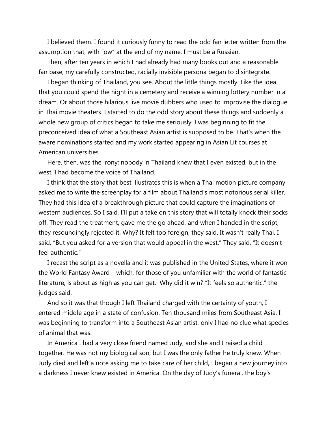I believed them. I found it curiously funny to read the odd fan letter written from the assumption that, with "ow" at the end of my name, I must be a Russian.

 Then, after ten years in which I had already had many books out and a reasonable fan base, my carefully constructed, racially invisible persona began to disintegrate.

 I began thinking of Thailand, you see. About the little things mostly. Like the idea that you could spend the night in a cemetery and receive a winning lottery number in a dream. Or about those hilarious live movie dubbers who used to improvise the dialogue in Thai movie theaters. I started to do the odd story about these things and suddenly a whole new group of critics began to take me seriously. I was beginning to fit the preconceived idea of what a Southeast Asian artist is supposed to be. That's when the aware nominations started and my work started appearing in Asian Lit courses at American universities.

 Here, then, was the irony: nobody in Thailand knew that I even existed, but in the west, I had become the voice of Thailand.

 I think that the story that best illustrates this is when a Thai motion picture company asked me to write the screenplay for a film about Thailand's most notorious serial killer. They had this idea of a breakthrough picture that could capture the imaginations of western audiences. So I said, I'll put a take on this story that will totally knock their socks off. They read the treatment, gave me the go ahead, and when I handed in the script, they resoundingly rejected it. Why? It felt too foreign, they said. It wasn't really Thai. I said, "But you asked for a version that would appeal in the west." They said, "It doesn't feel authentic."

 I recast the script as a novella and it was published in the United States, where it won the World Fantasy Award—which, for those of you unfamiliar with the world of fantastic literature, is about as high as you can get. Why did it win? "It feels so authentic," the judges said.

 And so it was that though I left Thailand charged with the certainty of youth, I entered middle age in a state of confusion. Ten thousand miles from Southeast Asia, I was beginning to transform into a Southeast Asian artist, only I had no clue what species of animal that was.

 In America I had a very close friend named Judy, and she and I raised a child together. He was not my biological son, but I was the only father he truly knew. When Judy died and left a note asking me to take care of her child, I began a new journey into a darkness I never knew existed in America. On the day of Judy's funeral, the boy's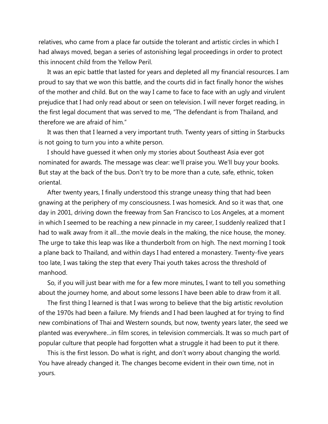relatives, who came from a place far outside the tolerant and artistic circles in which I had always moved, began a series of astonishing legal proceedings in order to protect this innocent child from the Yellow Peril.

 It was an epic battle that lasted for years and depleted all my financial resources. I am proud to say that we won this battle, and the courts did in fact finally honor the wishes of the mother and child. But on the way I came to face to face with an ugly and virulent prejudice that I had only read about or seen on television. I will never forget reading, in the first legal document that was served to me, "The defendant is from Thailand, and therefore we are afraid of him."

 It was then that I learned a very important truth. Twenty years of sitting in Starbucks is not going to turn you into a white person.

 I should have guessed it when only my stories about Southeast Asia ever got nominated for awards. The message was clear: we'll praise you. We'll buy your books. But stay at the back of the bus. Don't try to be more than a cute, safe, ethnic, token oriental.

 After twenty years, I finally understood this strange uneasy thing that had been gnawing at the periphery of my consciousness. I was homesick. And so it was that, one day in 2001, driving down the freeway from San Francisco to Los Angeles, at a moment in which I seemed to be reaching a new pinnacle in my career, I suddenly realized that I had to walk away from it all…the movie deals in the making, the nice house, the money. The urge to take this leap was like a thunderbolt from on high. The next morning I took a plane back to Thailand, and within days I had entered a monastery. Twenty-five years too late, I was taking the step that every Thai youth takes across the threshold of manhood.

 So, if you will just bear with me for a few more minutes, I want to tell you something about the journey home, and about some lessons I have been able to draw from it all.

 The first thing I learned is that I was wrong to believe that the big artistic revolution of the 1970s had been a failure. My friends and I had been laughed at for trying to find new combinations of Thai and Western sounds, but now, twenty years later, the seed we planted was everywhere…in film scores, in television commercials. It was so much part of popular culture that people had forgotten what a struggle it had been to put it there.

 This is the first lesson. Do what is right, and don't worry about changing the world. You have already changed it. The changes become evident in their own time, not in yours.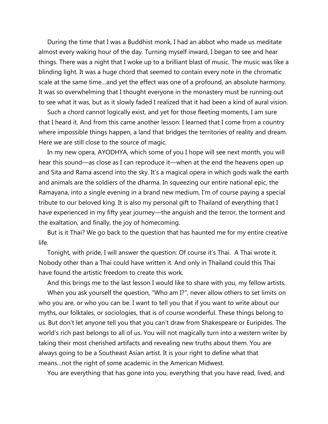During the time that I was a Buddhist monk, I had an abbot who made us meditate almost every waking hour of the day. Turning myself inward, I began to see and hear things. There was a night that I woke up to a brilliant blast of music. The music was like a blinding light. It was a huge chord that seemed to contain every note in the chromatic scale at the same time…and yet the effect was one of a profound, an absolute harmony. It was so overwhelming that I thought everyone in the monastery must be running out to see what it was, but as it slowly faded I realized that it had been a kind of aural vision.

 Such a chord cannot logically exist, and yet for those fleeting moments, I am sure that I heard it. And from this came another lesson: I learned that I come from a country where impossible things happen, a land that bridges the territories of reality and dream. Here we are still close to the source of magic.

 In my new opera, AYODHYA, which some of you I hope will see next month, you will hear this sound—as close as I can reproduce it—when at the end the heavens open up and Sita and Rama ascend into the sky. It's a magical opera in which gods walk the earth and animals are the soldiers of the dharma. In squeezing our entire national epic, the Ramayana, into a single evening in a brand new medium, I'm of course paying a special tribute to our beloved king. It is also my personal gift to Thailand of everything that I have experienced in my fifty year journey—the anguish and the terror, the torment and the exaltation, and finally, the joy of homecoming.

 But is it Thai? We go back to the question that has haunted me for my entire creative life.

 Tonight, with pride, I will answer the question: Of course it's Thai. A Thai wrote it. Nobody other than a Thai could have written it. And only in Thailand could this Thai have found the artistic freedom to create this work.

And this brings me to the last lesson I would like to share with you, my fellow artists.

 When you ask yourself the question, "Who am I?", never allow others to set limits on who you are, or who you can be. I want to tell you that if you want to write about our myths, our folktales, or sociologies, that is of course wonderful. These things belong to us. But don't let anyone tell you that you can't draw from Shakespeare or Euripides. The world's rich past belongs to all of us. You will not magically turn into a western writer by taking their most cherished artifacts and revealing new truths about them. You are always going to be a Southeast Asian artist. It is your right to define what that means…not the right of some academic in the American Midwest.

You are everything that has gone into you, everything that you have read, lived, and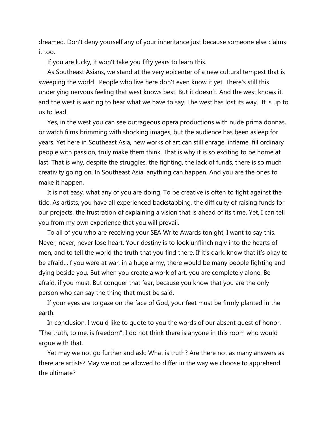dreamed. Don't deny yourself any of your inheritance just because someone else claims it too.

If you are lucky, it won't take you fifty years to learn this.

 As Southeast Asians, we stand at the very epicenter of a new cultural tempest that is sweeping the world. People who live here don't even know it yet. There's still this underlying nervous feeling that west knows best. But it doesn't. And the west knows it, and the west is waiting to hear what we have to say. The west has lost its way. It is up to us to lead.

 Yes, in the west you can see outrageous opera productions with nude prima donnas, or watch films brimming with shocking images, but the audience has been asleep for years. Yet here in Southeast Asia, new works of art can still enrage, inflame, fill ordinary people with passion, truly make them think. That is why it is so exciting to be home at last. That is why, despite the struggles, the fighting, the lack of funds, there is so much creativity going on. In Southeast Asia, anything can happen. And you are the ones to make it happen.

 It is not easy, what any of you are doing. To be creative is often to fight against the tide. As artists, you have all experienced backstabbing, the difficulty of raising funds for our projects, the frustration of explaining a vision that is ahead of its time. Yet, I can tell you from my own experience that you will prevail.

 To all of you who are receiving your SEA Write Awards tonight, I want to say this. Never, never, never lose heart. Your destiny is to look unflinchingly into the hearts of men, and to tell the world the truth that you find there. If it's dark, know that it's okay to be afraid…if you were at war, in a huge army, there would be many people fighting and dying beside you. But when you create a work of art, you are completely alone. Be afraid, if you must. But conquer that fear, because you know that you are the only person who can say the thing that must be said.

 If your eyes are to gaze on the face of God, your feet must be firmly planted in the earth.

 In conclusion, I would like to quote to you the words of our absent guest of honor. "The truth, to me, is freedom". I do not think there is anyone in this room who would argue with that.

 Yet may we not go further and ask: What is truth? Are there not as many answers as there are artists? May we not be allowed to differ in the way we choose to apprehend the ultimate?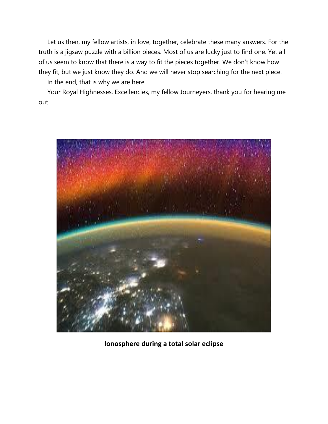Let us then, my fellow artists, in love, together, celebrate these many answers. For the truth is a jigsaw puzzle with a billion pieces. Most of us are lucky just to find one. Yet all of us seem to know that there is a way to fit the pieces together. We don't know how they fit, but we just know they do. And we will never stop searching for the next piece.

In the end, that is why we are here.

 Your Royal Highnesses, Excellencies, my fellow Journeyers, thank you for hearing me out.



**Ionosphere during a total solar eclipse**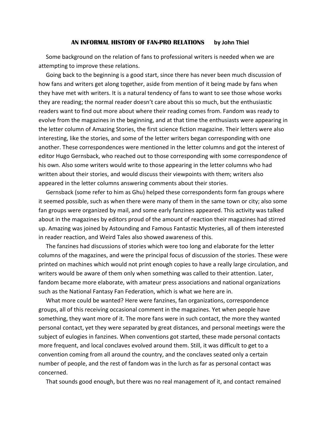#### **AN INFORMAL HISTORY OF FAN-PRO RELATIONS by John Thiel**

Some background on the relation of fans to professional writers is needed when we are attempting to improve these relations.

 Going back to the beginning is a good start, since there has never been much discussion of how fans and writers get along together, aside from mention of it being made by fans when they have met with writers. It is a natural tendency of fans to want to see those whose works they are reading; the normal reader doesn't care about this so much, but the enthusiastic readers want to find out more about where their reading comes from. Fandom was ready to evolve from the magazines in the beginning, and at that time the enthusiasts were appearing in the letter column of Amazing Stories, the first science fiction magazine. Their letters were also interesting, like the stories, and some of the letter writers began corresponding with one another. These correspondences were mentioned in the letter columns and got the interest of editor Hugo Gernsback, who reached out to those corresponding with some correspondence of his own. Also some writers would write to those appearing in the letter columns who had written about their stories, and would discuss their viewpoints with them; writers also appeared in the letter columns answering comments about their stories.

 Gernsback (some refer to him as Ghu) helped these correspondents form fan groups where it seemed possible, such as when there were many of them in the same town or city; also some fan groups were organized by mail, and some early fanzines appeared. This activity was talked about in the magazines by editors proud of the amount of reaction their magazines had stirred up. Amazing was joined by Astounding and Famous Fantastic Mysteries, all of them interested in reader reaction, and Weird Tales also showed awareness of this.

 The fanzines had discussions of stories which were too long and elaborate for the letter columns of the magazines, and were the principal focus of discussion of the stories. These were printed on machines which would not print enough copies to have a really large circulation, and writers would be aware of them only when something was called to their attention. Later, fandom became more elaborate, with amateur press associations and national organizations such as the National Fantasy Fan Federation, which is what we here are in.

 What more could be wanted? Here were fanzines, fan organizations, correspondence groups, all of this receiving occasional comment in the magazines. Yet when people have something, they want more of it. The more fans were in such contact, the more they wanted personal contact, yet they were separated by great distances, and personal meetings were the subject of eulogies in fanzines. When conventions got started, these made personal contacts more frequent, and local conclaves evolved around them. Still, it was difficult to get to a convention coming from all around the country, and the conclaves seated only a certain number of people, and the rest of fandom was in the lurch as far as personal contact was concerned.

That sounds good enough, but there was no real management of it, and contact remained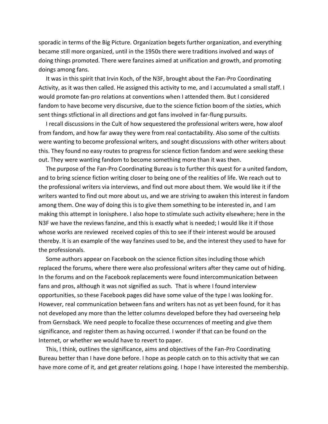sporadic in terms of the Big Picture. Organization begets further organization, and everything became still more organized, until in the 1950s there were traditions involved and ways of doing things promoted. There were fanzines aimed at unification and growth, and promoting doings among fans.

 It was in this spirit that Irvin Koch, of the N3F, brought about the Fan-Pro Coordinating Activity, as it was then called. He assigned this activity to me, and I accumulated a small staff. I would promote fan-pro relations at conventions when I attended them. But I considered fandom to have become very discursive, due to the science fiction boom of the sixties, which sent things stfictional in all directions and got fans involved in far-flung pursuits.

 I recall discussions in the Cult of how sequestered the professional writers were, how aloof from fandom, and how far away they were from real contactability. Also some of the cultists were wanting to become professional writers, and sought discussions with other writers about this. They found no easy routes to progress for science fiction fandom and were seeking these out. They were wanting fandom to become something more than it was then.

 The purpose of the Fan-Pro Coordinating Bureau is to further this quest for a united fandom, and to bring science fiction writing closer to being one of the realities of life. We reach out to the professional writers via interviews, and find out more about them. We would like it if the writers wanted to find out more about us, and we are striving to awaken this interest in fandom among them. One way of doing this is to give them something to be interested in, and I am making this attempt in Ionisphere. I also hope to stimulate such activity elsewhere; here in the N3F we have the reviews fanzine, and this is exactly what is needed; I would like it if those whose works are reviewed received copies of this to see if their interest would be aroused thereby. It is an example of the way fanzines used to be, and the interest they used to have for the professionals.

 Some authors appear on Facebook on the science fiction sites including those which replaced the forums, where there were also professional writers after they came out of hiding. In the forums and on the Facebook replacements were found intercommunication between fans and pros, although it was not signified as such. That is where I found interview opportunities, so these Facebook pages did have some value of the type I was looking for. However, real communication between fans and writers has not as yet been found, for it has not developed any more than the letter columns developed before they had overseeing help from Gernsback. We need people to focalize these occurrences of meeting and give them significance, and register them as having occurred. I wonder if that can be found on the Internet, or whether we would have to revert to paper.

 This, I think, outlines the significance, aims and objectives of the Fan-Pro Coordinating Bureau better than I have done before. I hope as people catch on to this activity that we can have more come of it, and get greater relations going. I hope I have interested the membership.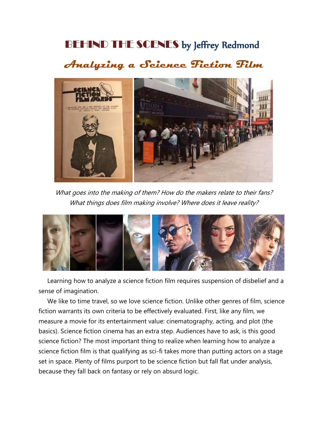## BEHIND THE SCENES by Jeffrey Redmond

### **Analyzing a Science Fiction Film**



What goes into the making of them? How do the makers relate to their fans? What things does film making involve? Where does it leave reality?



 Learning how to analyze a science fiction film requires suspension of disbelief and a sense of imagination.

 We like to time travel, so we love science fiction. Unlike other genres of film, science fiction warrants its own criteria to be effectively evaluated. First, like any film, we measure a movie for its entertainment value: cinematography, acting, and plot (the basics). Science fiction cinema has an extra step. Audiences have to ask, is this good science fiction? The most important thing to realize when learning how to analyze a science fiction film is that qualifying as sci-fi takes more than putting actors on a stage set in space. Plenty of films purport to be science fiction but fall flat under analysis, because they fall back on fantasy or rely on absurd logic.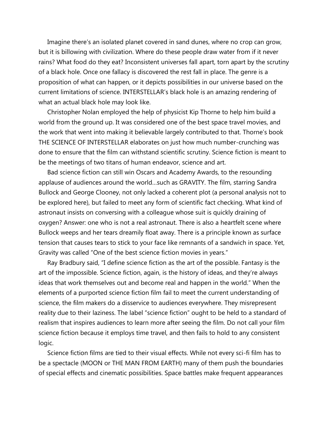Imagine there's an isolated planet covered in sand dunes, where no crop can grow, but it is billowing with civilization. Where do these people draw water from if it never rains? What food do they eat? Inconsistent universes fall apart, torn apart by the scrutiny of a black hole. Once one fallacy is discovered the rest fall in place. The genre is a proposition of what can happen, or it depicts possibilities in our universe based on the current limitations of science. INTERSTELLAR's black hole is an amazing rendering of what an actual black hole may look like.

 Christopher Nolan employed the help of physicist Kip Thorne to help him build a world from the ground up. It was considered one of the best space travel movies, and the work that went into making it believable largely contributed to that. Thorne's book THE SCIENCE OF INTERSTELLAR elaborates on just how much number-crunching was done to ensure that the film can withstand scientific scrutiny. Science fiction is meant to be the meetings of two titans of human endeavor, science and art.

 Bad science fiction can still win Oscars and Academy Awards, to the resounding applause of audiences around the world…such as GRAVITY. The film, starring Sandra Bullock and George Clooney, not only lacked a coherent plot (a personal analysis not to be explored here), but failed to meet any form of scientific fact checking. What kind of astronaut insists on conversing with a colleague whose suit is quickly draining of oxygen? Answer: one who is not a real astronaut. There is also a heartfelt scene where Bullock weeps and her tears dreamily float away. There is a principle known as surface tension that causes tears to stick to your face like remnants of a sandwich in space. Yet, Gravity was called "One of the best science fiction movies in years."

 Ray Bradbury said, "I define science fiction as the art of the possible. Fantasy is the art of the impossible. Science fiction, again, is the history of ideas, and they're always ideas that work themselves out and become real and happen in the world." When the elements of a purported science fiction film fail to meet the current understanding of science, the film makers do a disservice to audiences everywhere. They misrepresent reality due to their laziness. The label "science fiction" ought to be held to a standard of realism that inspires audiences to learn more after seeing the film. Do not call your film science fiction because it employs time travel, and then fails to hold to any consistent logic.

 Science fiction films are tied to their visual effects. While not every sci-fi film has to be a spectacle (MOON or THE MAN FROM EARTH) many of them push the boundaries of special effects and cinematic possibilities. Space battles make frequent appearances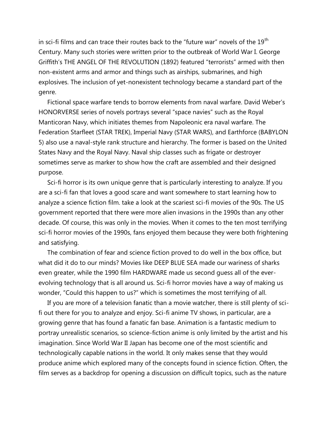in sci-fi films and can trace their routes back to the "future war" novels of the  $19<sup>th</sup>$ Century. Many such stories were written prior to the outbreak of World War I. George Griffith's THE ANGEL OF THE REVOLUTION (1892) featured "terrorists" armed with then non-existent arms and armor and things such as airships, submarines, and high explosives. The inclusion of yet-nonexistent technology became a standard part of the genre.

 Fictional space warfare tends to borrow elements from naval warfare. David Weber's HONORVERSE series of novels portrays several "space navies" such as the Royal Manticoran Navy, which initiates themes from Napoleonic era naval warfare. The Federation Starfleet (STAR TREK), Imperial Navy (STAR WARS), and Earthforce (BABYLON 5) also use a naval-style rank structure and hierarchy. The former is based on the United States Navy and the Royal Navy. Naval ship classes such as frigate or destroyer sometimes serve as marker to show how the craft are assembled and their designed purpose.

 Sci-fi horror is its own unique genre that is particularly interesting to analyze. If you are a sci-fi fan that loves a good scare and want somewhere to start learning how to analyze a science fiction film. take a look at the scariest sci-fi movies of the 90s. The US government reported that there were more alien invasions in the 1990s than any other decade. Of course, this was only in the movies. When it comes to the ten most terrifying sci-fi horror movies of the 1990s, fans enjoyed them because they were both frightening and satisfying.

 The combination of fear and science fiction proved to do well in the box office, but what did it do to our minds? Movies like DEEP BLUE SEA made our wariness of sharks even greater, while the 1990 film HARDWARE made us second guess all of the everevolving technology that is all around us. Sci-fi horror movies have a way of making us wonder, "Could this happen to us?" which is sometimes the most terrifying of all.

 If you are more of a television fanatic than a movie watcher, there is still plenty of scifi out there for you to analyze and enjoy. Sci-fi anime TV shows, in particular, are a growing genre that has found a fanatic fan base. Animation is a fantastic medium to portray unrealistic scenarios, so science-fiction anime is only limited by the artist and his imagination. Since World War II Japan has become one of the most scientific and technologically capable nations in the world. It only makes sense that they would produce anime which explored many of the concepts found in science fiction. Often, the film serves as a backdrop for opening a discussion on difficult topics, such as the nature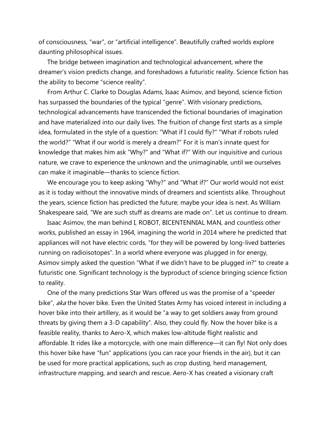of consciousness, "war", or "artificial intelligence". Beautifully crafted worlds explore daunting philosophical issues.

 The bridge between imagination and technological advancement, where the dreamer's vision predicts change, and foreshadows a futuristic reality. Science fiction has the ability to become "science reality".

 From Arthur C. Clarke to Douglas Adams, Isaac Asimov, and beyond, science fiction has surpassed the boundaries of the typical "genre". With visionary predictions, technological advancements have transcended the fictional boundaries of imagination and have materialized into our daily lives. The fruition of change first starts as a simple idea, formulated in the style of a question: "What if I could fly?" "What if robots ruled the world?" "What if our world is merely a dream?" For it is man's innate quest for knowledge that makes him ask "Why?" and "What if?" With our inquisitive and curious nature, we crave to experience the unknown and the unimaginable, until we ourselves can make it imaginable—thanks to science fiction.

 We encourage you to keep asking "Why?" and "What if?" Our world would not exist as it is today without the innovative minds of dreamers and scientists alike. Throughout the years, science fiction has predicted the future; maybe your idea is next. As William Shakespeare said, "We are such stuff as dreams are made on". Let us continue to dream.

 Isaac Asimov, the man behind I, ROBOT, BICENTENNIAL MAN, and countless other works, published an essay in 1964, imagining the world in 2014 where he predicted that appliances will not have electric cords, "for they will be powered by long-lived batteries running on radioisotopes". In a world where everyone was plugged in for energy, Asimov simply asked the question "What if we didn't have to be plugged in?" to create a futuristic one. Significant technology is the byproduct of science bringing science fiction to reality.

 One of the many predictions Star Wars offered us was the promise of a "speeder bike", aka the hover bike. Even the United States Army has voiced interest in including a hover bike into their artillery, as it would be "a way to get soldiers away from ground threats by giving them a 3-D capability". Also, they could fly. Now the hover bike is a feasible reality, thanks to Aero-X, which makes low-altitude flight realistic and affordable. It rides like a motorcycle, with one main difference—it can fly! Not only does this hover bike have "fun" applications (you can race your friends in the air), but it can be used for more practical applications, such as crop dusting, herd management, infrastructure mapping, and search and rescue. Aero-X has created a visionary craft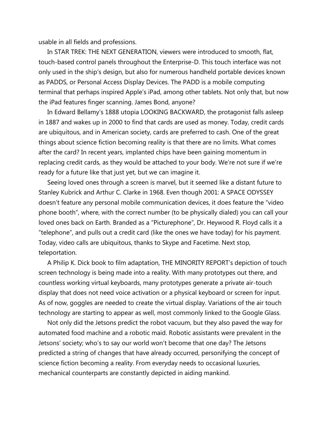usable in all fields and professions.

 In STAR TREK: THE NEXT GENERATION, viewers were introduced to smooth, flat, touch-based control panels throughout the Enterprise-D. This touch interface was not only used in the ship's design, but also for numerous handheld portable devices known as PADDS, or Personal Access Display Devices. The PADD is a mobile computing terminal that perhaps inspired Apple's iPad, among other tablets. Not only that, but now the iPad features finger scanning. James Bond, anyone?

 In Edward Bellamy's 1888 utopia LOOKING BACKWARD, the protagonist falls asleep in 1887 and wakes up in 2000 to find that cards are used as money. Today, credit cards are ubiquitous, and in American society, cards are preferred to cash. One of the great things about science fiction becoming reality is that there are no limits. What comes after the card? In recent years, implanted chips have been gaining momentum in replacing credit cards, as they would be attached to your body. We're not sure if we're ready for a future like that just yet, but we can imagine it.

 Seeing loved ones through a screen is marvel, but it seemed like a distant future to Stanley Kubrick and Arthur C. Clarke in 1968. Even though 2001: A SPACE ODYSSEY doesn't feature any personal mobile communication devices, it does feature the "video phone booth", where, with the correct number (to be physically dialed) you can call your loved ones back on Earth. Branded as a "Picturephone", Dr. Heywood R. Floyd calls it a "telephone", and pulls out a credit card (like the ones we have today) for his payment. Today, video calls are ubiquitous, thanks to Skype and Facetime. Next stop, teleportation.

 A Philip K. Dick book to film adaptation, THE MINORITY REPORT's depiction of touch screen technology is being made into a reality. With many prototypes out there, and countless working virtual keyboards, many prototypes generate a private air-touch display that does not need voice activation or a physical keyboard or screen for input. As of now, goggles are needed to create the virtual display. Variations of the air touch technology are starting to appear as well, most commonly linked to the Google Glass.

 Not only did the Jetsons predict the robot vacuum, but they also paved the way for automated food machine and a robotic maid. Robotic assistants were prevalent in the Jetsons' society; who's to say our world won't become that one day? The Jetsons predicted a string of changes that have already occurred, personifying the concept of science fiction becoming a reality. From everyday needs to occasional luxuries, mechanical counterparts are constantly depicted in aiding mankind.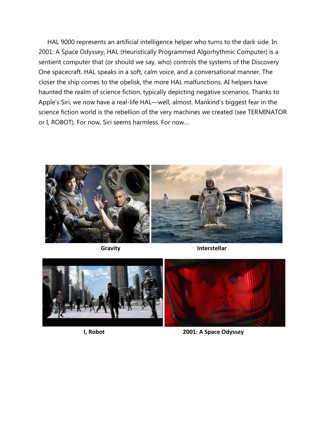HAL 9000 represents an artificial intelligence helper who turns to the dark side. In 2001: A Space Odyssey, HAL (Heuristically Programmed Algorhythmic Computer) is a sentient computer that (or should we say, who) controls the systems of the Discovery One spacecraft. HAL speaks in a soft, calm voice, and a conversational manner. The closer the ship comes to the obelisk, the more HAL malfunctions. AI helpers have haunted the realm of science fiction, typically depicting negative scenarios. Thanks to Apple's Siri, we now have a real-life HAL—well, almost. Mankind's biggest fear in the science fiction world is the rebellion of the very machines we created (see TERMINATOR or I, ROBOT). For now, Siri seems harmless. For now…



**Gravity Interstellar** 



**I, Robot 2001: A Space Odyssey**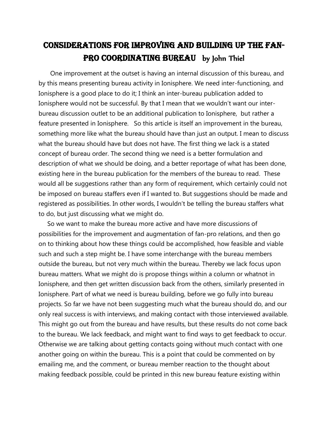### Considerations For improving and building up the fan-PRO COORDINATING BUREAU by John Thiel

 One improvement at the outset is having an internal discussion of this bureau, and by this means presenting bureau activity in Ionisphere. We need inter-functioning, and Ionisphere is a good place to do it; I think an inter-bureau publication added to Ionisphere would not be successful. By that I mean that we wouldn't want our interbureau discussion outlet to be an additional publication to Ionisphere, but rather a feature presented in Ionisphere. So this article is itself an improvement in the bureau, something more like what the bureau should have than just an output. I mean to discuss what the bureau should have but does not have. The first thing we lack is a stated concept of bureau order. The second thing we need is a better formulation and description of what we should be doing, and a better reportage of what has been done, existing here in the bureau publication for the members of the bureau to read. These would all be suggestions rather than any form of requirement, which certainly could not be imposed on bureau staffers even if I wanted to. But suggestions should be made and registered as possibilities. In other words, I wouldn't be telling the bureau staffers what to do, but just discussing what we might do.

 So we want to make the bureau more active and have more discussions of possibilities for the improvement and augmentation of fan-pro relations, and then go on to thinking about how these things could be accomplished, how feasible and viable such and such a step might be. I have some interchange with the bureau members outside the bureau, but not very much within the bureau. Thereby we lack focus upon bureau matters. What we might do is propose things within a column or whatnot in Ionisphere, and then get written discussion back from the others, similarly presented in Ionisphere. Part of what we need is bureau building, before we go fully into bureau projects. So far we have not been suggesting much what the bureau should do, and our only real success is with interviews, and making contact with those interviewed available. This might go out from the bureau and have results, but these results do not come back to the bureau. We lack feedback, and might want to find ways to get feedback to occur. Otherwise we are talking about getting contacts going without much contact with one another going on within the bureau. This is a point that could be commented on by emailing me, and the comment, or bureau member reaction to the thought about making feedback possible, could be printed in this new bureau feature existing within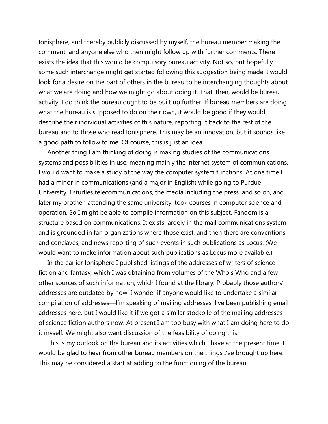Ionisphere, and thereby publicly discussed by myself, the bureau member making the comment, and anyone else who then might follow up with further comments. There exists the idea that this would be compulsory bureau activity. Not so, but hopefully some such interchange might get started following this suggestion being made. I would look for a desire on the part of others in the bureau to be interchanging thoughts about what we are doing and how we might go about doing it. That, then, would be bureau activity. I do think the bureau ought to be built up further. If bureau members are doing what the bureau is supposed to do on their own, it would be good if they would describe their individual activities of this nature, reporting it back to the rest of the bureau and to those who read Ionisphere. This may be an innovation, but it sounds like a good path to follow to me. Of course, this is just an idea.

 Another thing I am thinking of doing is making studies of the communications systems and possibilities in use, meaning mainly the internet system of communications. I would want to make a study of the way the computer system functions. At one time I had a minor in communications (and a major in English) while going to Purdue University. I studies telecommunications, the media including the press, and so on, and later my brother, attending the same university, took courses in computer science and operation. So I might be able to compile information on this subject. Fandom is a structure based on communications. It exists largely in the mail communications system and is grounded in fan organizations where those exist, and then there are conventions and conclaves, and news reporting of such events in such publications as Locus. (We would want to make information about such publications as Locus more available.)

 In the earlier Ionisphere I published listings of the addresses of writers of science fiction and fantasy, which I was obtaining from volumes of the Who's Who and a few other sources of such information, which I found at the library. Probably those authors' addresses are outdated by now. I wonder if anyone would like to undertake a similar compilation of addresses—I'm speaking of mailing addresses; I've been publishing email addresses here, but I would like it if we got a similar stockpile of the mailing addresses of science fiction authors now. At present I am too busy with what I am doing here to do it myself. We might also want discussion of the feasibility of doing this.

 This is my outlook on the bureau and its activities which I have at the present time. I would be glad to hear from other bureau members on the things I've brought up here. This may be considered a start at adding to the functioning of the bureau.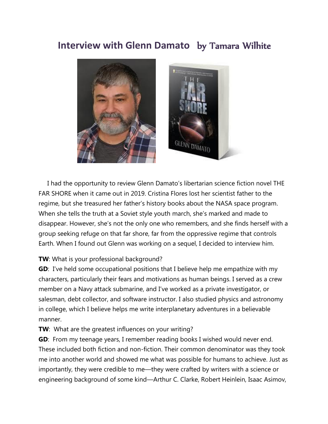### **Interview with Glenn Damato** by Tamara Wilhite



 I had the opportunity to review Glenn Damato's libertarian science fiction novel THE FAR SHORE when it came out in 2019. Cristina Flores lost her scientist father to the regime, but she treasured her father's history books about the NASA space program. When she tells the truth at a Soviet style youth march, she's marked and made to disappear. However, she's not the only one who remembers, and she finds herself with a group seeking refuge on that far shore, far from the oppressive regime that controls Earth. When I found out Glenn was working on a sequel, I decided to interview him.

#### **TW**: What is your professional background?

**GD**: I've held some occupational positions that I believe help me empathize with my characters, particularly their fears and motivations as human beings. I served as a crew member on a Navy attack submarine, and I've worked as a private investigator, or salesman, debt collector, and software instructor. I also studied physics and astronomy in college, which I believe helps me write interplanetary adventures in a believable manner.

#### **TW**: What are the greatest influences on your writing?

**GD**: From my teenage years, I remember reading books I wished would never end. These included both fiction and non-fiction. Their common denominator was they took me into another world and showed me what was possible for humans to achieve. Just as importantly, they were credible to me—they were crafted by writers with a science or engineering background of some kind—Arthur C. Clarke, Robert Heinlein, Isaac Asimov,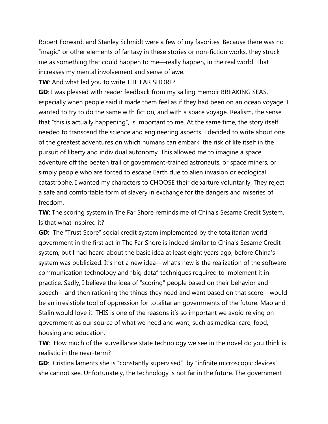Robert Forward, and Stanley Schmidt were a few of my favorites. Because there was no "magic" or other elements of fantasy in these stories or non-fiction works, they struck me as something that could happen to me—really happen, in the real world. That increases my mental involvement and sense of awe.

**TW**: And what led you to write THE FAR SHORE?

**GD**: I was pleased with reader feedback from my sailing memoir BREAKING SEAS, especially when people said it made them feel as if they had been on an ocean voyage. I wanted to try to do the same with fiction, and with a space voyage. Realism, the sense that "this is actually happening", is important to me. At the same time, the story itself needed to transcend the science and engineering aspects. I decided to write about one of the greatest adventures on which humans can embark, the risk of life itself in the pursuit of liberty and individual autonomy. This allowed me to imagine a space adventure off the beaten trail of government-trained astronauts, or space miners, or simply people who are forced to escape Earth due to alien invasion or ecological catastrophe. I wanted my characters to CHOOSE their departure voluntarily. They reject a safe and comfortable form of slavery in exchange for the dangers and miseries of freedom.

**TW**: The scoring system in The Far Shore reminds me of China's Sesame Credit System. Is that what inspired it?

**GD**: The "Trust Score" social credit system implemented by the totalitarian world government in the first act in The Far Shore is indeed similar to China's Sesame Credit system, but I had heard about the basic idea at least eight years ago, before China's system was publicized. It's not a new idea—what's new is the realization of the software communication technology and "big data" techniques required to implement it in practice. Sadly, I believe the idea of "scoring" people based on their behavior and speech—and then rationing the things they need and want based on that score—would be an irresistible tool of oppression for totalitarian governments of the future. Mao and Stalin would love it. THIS is one of the reasons it's so important we avoid relying on government as our source of what we need and want, such as medical care, food, housing and education.

**TW**: How much of the surveillance state technology we see in the novel do you think is realistic in the near-term?

**GD**: Cristina laments she is "constantly supervised" by "infinite microscopic devices" she cannot see. Unfortunately, the technology is not far in the future. The government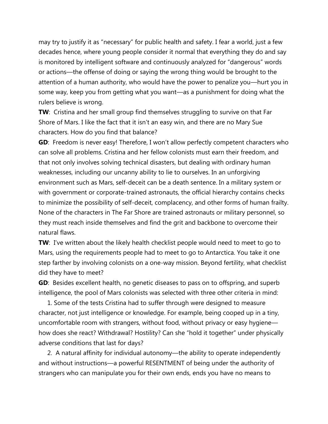may try to justify it as "necessary" for public health and safety. I fear a world, just a few decades hence, where young people consider it normal that everything they do and say is monitored by intelligent software and continuously analyzed for "dangerous" words or actions—the offense of doing or saying the wrong thing would be brought to the attention of a human authority, who would have the power to penalize you—hurt you in some way, keep you from getting what you want—as a punishment for doing what the rulers believe is wrong.

**TW**: Cristina and her small group find themselves struggling to survive on that Far Shore of Mars. I like the fact that it isn't an easy win, and there are no Mary Sue characters. How do you find that balance?

**GD**: Freedom is never easy! Therefore, I won't allow perfectly competent characters who can solve all problems. Cristina and her fellow colonists must earn their freedom, and that not only involves solving technical disasters, but dealing with ordinary human weaknesses, including our uncanny ability to lie to ourselves. In an unforgiving environment such as Mars, self-deceit can be a death sentence. In a military system or with government or corporate-trained astronauts, the official hierarchy contains checks to minimize the possibility of self-deceit, complacency, and other forms of human frailty. None of the characters in The Far Shore are trained astronauts or military personnel, so they must reach inside themselves and find the grit and backbone to overcome their natural flaws.

**TW**: I've written about the likely health checklist people would need to meet to go to Mars, using the requirements people had to meet to go to Antarctica. You take it one step farther by involving colonists on a one-way mission. Beyond fertility, what checklist did they have to meet?

**GD**: Besides excellent health, no genetic diseases to pass on to offspring, and superb intelligence, the pool of Mars colonists was selected with three other criteria in mind:

 1. Some of the tests Cristina had to suffer through were designed to measure character, not just intelligence or knowledge. For example, being cooped up in a tiny, uncomfortable room with strangers, without food, without privacy or easy hygiene how does she react? Withdrawal? Hostility? Can she "hold it together" under physically adverse conditions that last for days?

 2. A natural affinity for individual autonomy—the ability to operate independently and without instructions—a powerful RESENTMENT of being under the authority of strangers who can manipulate you for their own ends, ends you have no means to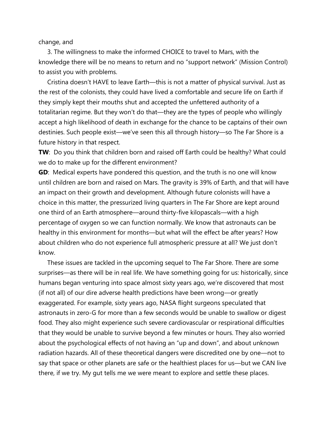change, and

 3. The willingness to make the informed CHOICE to travel to Mars, with the knowledge there will be no means to return and no "support network" (Mission Control) to assist you with problems.

 Cristina doesn't HAVE to leave Earth—this is not a matter of physical survival. Just as the rest of the colonists, they could have lived a comfortable and secure life on Earth if they simply kept their mouths shut and accepted the unfettered authority of a totalitarian regime. But they won't do that—they are the types of people who willingly accept a high likelihood of death in exchange for the chance to be captains of their own destinies. Such people exist—we've seen this all through history—so The Far Shore is a future history in that respect.

**TW**: Do you think that children born and raised off Earth could be healthy? What could we do to make up for the different environment?

**GD**: Medical experts have pondered this question, and the truth is no one will know until children are born and raised on Mars. The gravity is 39% of Earth, and that will have an impact on their growth and development. Although future colonists will have a choice in this matter, the pressurized living quarters in The Far Shore are kept around one third of an Earth atmosphere—around thirty-five kilopascals—with a high percentage of oxygen so we can function normally. We know that astronauts can be healthy in this environment for months—but what will the effect be after years? How about children who do not experience full atmospheric pressure at all? We just don't know.

 These issues are tackled in the upcoming sequel to The Far Shore. There are some surprises—as there will be in real life. We have something going for us: historically, since humans began venturing into space almost sixty years ago, we're discovered that most (if not all) of our dire adverse health predictions have been wrong—or greatly exaggerated. For example, sixty years ago, NASA flight surgeons speculated that astronauts in zero-G for more than a few seconds would be unable to swallow or digest food. They also might experience such severe cardiovascular or respirational difficulties that they would be unable to survive beyond a few minutes or hours. They also worried about the psychological effects of not having an "up and down", and about unknown radiation hazards. All of these theoretical dangers were discredited one by one—not to say that space or other planets are safe or the healthiest places for us—but we CAN live there, if we try. My gut tells me we were meant to explore and settle these places.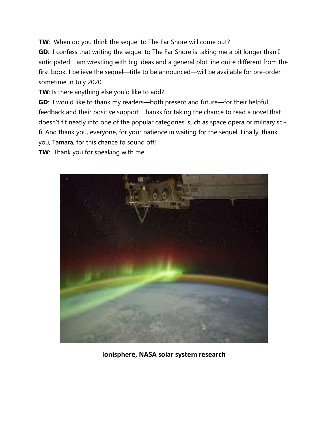**TW**: When do you think the sequel to The Far Shore will come out?

**GD**: I confess that writing the sequel to The Far Shore is taking me a bit longer than I anticipated. I am wrestling with big ideas and a general plot line quite different from the first book. I believe the sequel—title to be announced—will be available for pre-order sometime in July 2020.

**TW**: Is there anything else you'd like to add?

**GD**: I would like to thank my readers—both present and future—for their helpful feedback and their positive support. Thanks for taking the chance to read a novel that doesn't fit neatly into one of the popular categories, such as space opera or military scifi. And thank you, everyone, for your patience in waiting for the sequel. Finally, thank you, Tamara, for this chance to sound off!

**TW**: Thank you for speaking with me.



**Ionisphere, NASA solar system research**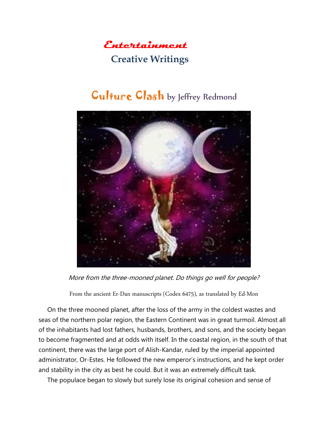

#### **Creative Writings**

## Gulture Clash by Jeffrey Redmond



More from the three-mooned planet. Do things go well for people?

From the ancient Er-Dan manuscripts (Codex 6475), as translated by Ed-Mon

 On the three mooned planet, after the loss of the army in the coldest wastes and seas of the northern polar region, the Eastern Continent was in great turmoil. Almost all of the inhabitants had lost fathers, husbands, brothers, and sons, and the society began to become fragmented and at odds with itself. In the coastal region, in the south of that continent, there was the large port of Alish-Kandar, ruled by the imperial appointed administrator, Or-Estes. He followed the new emperor's instructions, and he kept order and stability in the city as best he could. But it was an extremely difficult task.

The populace began to slowly but surely lose its original cohesion and sense of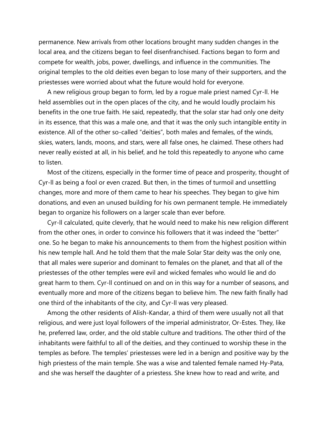permanence. New arrivals from other locations brought many sudden changes in the local area, and the citizens began to feel disenfranchised. Factions began to form and compete for wealth, jobs, power, dwellings, and influence in the communities. The original temples to the old deities even began to lose many of their supporters, and the priestesses were worried about what the future would hold for everyone.

 A new religious group began to form, led by a rogue male priest named Cyr-ll. He held assemblies out in the open places of the city, and he would loudly proclaim his benefits in the one true faith. He said, repeatedly, that the solar star had only one deity in its essence, that this was a male one, and that it was the only such intangible entity in existence. All of the other so-called "deities", both males and females, of the winds, skies, waters, lands, moons, and stars, were all false ones, he claimed. These others had never really existed at all, in his belief, and he told this repeatedly to anyone who came to listen.

 Most of the citizens, especially in the former time of peace and prosperity, thought of Cyr-ll as being a fool or even crazed. But then, in the times of turmoil and unsettling changes, more and more of them came to hear his speeches. They began to give him donations, and even an unused building for his own permanent temple. He immediately began to organize his followers on a larger scale than ever before.

 Cyr-ll calculated, quite cleverly, that he would need to make his new religion different from the other ones, in order to convince his followers that it was indeed the "better" one. So he began to make his announcements to them from the highest position within his new temple hall. And he told them that the male Solar Star deity was the only one, that all males were superior and dominant to females on the planet, and that all of the priestesses of the other temples were evil and wicked females who would lie and do great harm to them. Cyr-ll continued on and on in this way for a number of seasons, and eventually more and more of the citizens began to believe him. The new faith finally had one third of the inhabitants of the city, and Cyr-ll was very pleased.

 Among the other residents of Alish-Kandar, a third of them were usually not all that religious, and were just loyal followers of the imperial administrator, Or-Estes. They, like he, preferred law, order, and the old stable culture and traditions. The other third of the inhabitants were faithful to all of the deities, and they continued to worship these in the temples as before. The temples' priestesses were led in a benign and positive way by the high priestess of the main temple. She was a wise and talented female named Hy-Pata, and she was herself the daughter of a priestess. She knew how to read and write, and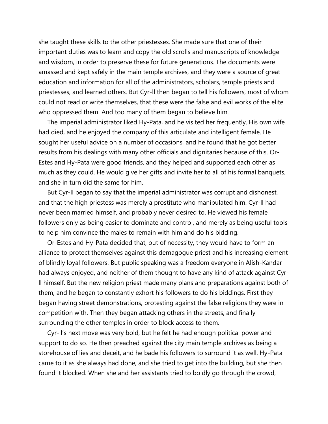she taught these skills to the other priestesses. She made sure that one of their important duties was to learn and copy the old scrolls and manuscripts of knowledge and wisdom, in order to preserve these for future generations. The documents were amassed and kept safely in the main temple archives, and they were a source of great education and information for all of the administrators, scholars, temple priests and priestesses, and learned others. But Cyr-ll then began to tell his followers, most of whom could not read or write themselves, that these were the false and evil works of the elite who oppressed them. And too many of them began to believe him.

 The imperial administrator liked Hy-Pata, and he visited her frequently. His own wife had died, and he enjoyed the company of this articulate and intelligent female. He sought her useful advice on a number of occasions, and he found that he got better results from his dealings with many other officials and dignitaries because of this. Or-Estes and Hy-Pata were good friends, and they helped and supported each other as much as they could. He would give her gifts and invite her to all of his formal banquets, and she in turn did the same for him.

 But Cyr-ll began to say that the imperial administrator was corrupt and dishonest, and that the high priestess was merely a prostitute who manipulated him. Cyr-ll had never been married himself, and probably never desired to. He viewed his female followers only as being easier to dominate and control, and merely as being useful tools to help him convince the males to remain with him and do his bidding.

 Or-Estes and Hy-Pata decided that, out of necessity, they would have to form an alliance to protect themselves against this demagogue priest and his increasing element of blindly loyal followers. But public speaking was a freedom everyone in Alish-Kandar had always enjoyed, and neither of them thought to have any kind of attack against Cyrll himself. But the new religion priest made many plans and preparations against both of them, and he began to constantly exhort his followers to do his biddings. First they began having street demonstrations, protesting against the false religions they were in competition with. Then they began attacking others in the streets, and finally surrounding the other temples in order to block access to them.

 Cyr-ll's next move was very bold, but he felt he had enough political power and support to do so. He then preached against the city main temple archives as being a storehouse of lies and deceit, and he bade his followers to surround it as well. Hy-Pata came to it as she always had done, and she tried to get into the building, but she then found it blocked. When she and her assistants tried to boldly go through the crowd,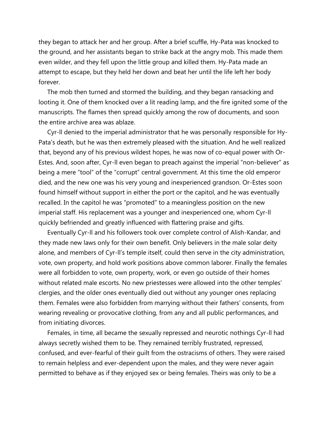they began to attack her and her group. After a brief scuffle, Hy-Pata was knocked to the ground, and her assistants began to strike back at the angry mob. This made them even wilder, and they fell upon the little group and killed them. Hy-Pata made an attempt to escape, but they held her down and beat her until the life left her body forever.

 The mob then turned and stormed the building, and they began ransacking and looting it. One of them knocked over a lit reading lamp, and the fire ignited some of the manuscripts. The flames then spread quickly among the row of documents, and soon the entire archive area was ablaze.

 Cyr-ll denied to the imperial administrator that he was personally responsible for Hy-Pata's death, but he was then extremely pleased with the situation. And he well realized that, beyond any of his previous wildest hopes, he was now of co-equal power with Or-Estes. And, soon after, Cyr-ll even began to preach against the imperial "non-believer" as being a mere "tool" of the "corrupt" central government. At this time the old emperor died, and the new one was his very young and inexperienced grandson. Or-Estes soon found himself without support in either the port or the capitol, and he was eventually recalled. In the capitol he was "promoted" to a meaningless position on the new imperial staff. His replacement was a younger and inexperienced one, whom Cyr-ll quickly befriended and greatly influenced with flattering praise and gifts.

 Eventually Cyr-ll and his followers took over complete control of Alish-Kandar, and they made new laws only for their own benefit. Only believers in the male solar deity alone, and members of Cyr-ll's temple itself, could then serve in the city administration, vote, own property, and hold work positions above common laborer. Finally the females were all forbidden to vote, own property, work, or even go outside of their homes without related male escorts. No new priestesses were allowed into the other temples' clergies, and the older ones eventually died out without any younger ones replacing them. Females were also forbidden from marrying without their fathers' consents, from wearing revealing or provocative clothing, from any and all public performances, and from initiating divorces.

 Females, in time, all became the sexually repressed and neurotic nothings Cyr-ll had always secretly wished them to be. They remained terribly frustrated, repressed, confused, and ever-fearful of their guilt from the ostracisms of others. They were raised to remain helpless and ever-dependent upon the males, and they were never again permitted to behave as if they enjoyed sex or being females. Theirs was only to be a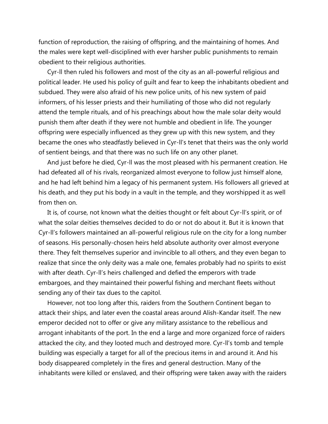function of reproduction, the raising of offspring, and the maintaining of homes. And the males were kept well-disciplined with ever harsher public punishments to remain obedient to their religious authorities.

 Cyr-ll then ruled his followers and most of the city as an all-powerful religious and political leader. He used his policy of guilt and fear to keep the inhabitants obedient and subdued. They were also afraid of his new police units, of his new system of paid informers, of his lesser priests and their humiliating of those who did not regularly attend the temple rituals, and of his preachings about how the male solar deity would punish them after death if they were not humble and obedient in life. The younger offspring were especially influenced as they grew up with this new system, and they became the ones who steadfastly believed in Cyr-ll's tenet that theirs was the only world of sentient beings, and that there was no such life on any other planet.

 And just before he died, Cyr-ll was the most pleased with his permanent creation. He had defeated all of his rivals, reorganized almost everyone to follow just himself alone, and he had left behind him a legacy of his permanent system. His followers all grieved at his death, and they put his body in a vault in the temple, and they worshipped it as well from then on.

 It is, of course, not known what the deities thought or felt about Cyr-ll's spirit, or of what the solar deities themselves decided to do or not do about it. But it is known that Cyr-ll's followers maintained an all-powerful religious rule on the city for a long number of seasons. His personally-chosen heirs held absolute authority over almost everyone there. They felt themselves superior and invincible to all others, and they even began to realize that since the only deity was a male one, females probably had no spirits to exist with after death. Cyr-ll's heirs challenged and defied the emperors with trade embargoes, and they maintained their powerful fishing and merchant fleets without sending any of their tax dues to the capitol.

 However, not too long after this, raiders from the Southern Continent began to attack their ships, and later even the coastal areas around Alish-Kandar itself. The new emperor decided not to offer or give any military assistance to the rebellious and arrogant inhabitants of the port. In the end a large and more organized force of raiders attacked the city, and they looted much and destroyed more. Cyr-ll's tomb and temple building was especially a target for all of the precious items in and around it. And his body disappeared completely in the fires and general destruction. Many of the inhabitants were killed or enslaved, and their offspring were taken away with the raiders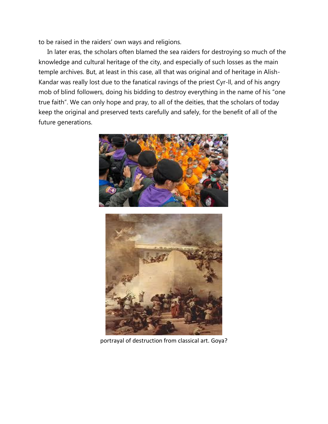to be raised in the raiders' own ways and religions.

 In later eras, the scholars often blamed the sea raiders for destroying so much of the knowledge and cultural heritage of the city, and especially of such losses as the main temple archives. But, at least in this case, all that was original and of heritage in Alish-Kandar was really lost due to the fanatical ravings of the priest Cyr-ll, and of his angry mob of blind followers, doing his bidding to destroy everything in the name of his "one true faith". We can only hope and pray, to all of the deities, that the scholars of today keep the original and preserved texts carefully and safely, for the benefit of all of the future generations.



portrayal of destruction from classical art. Goya?